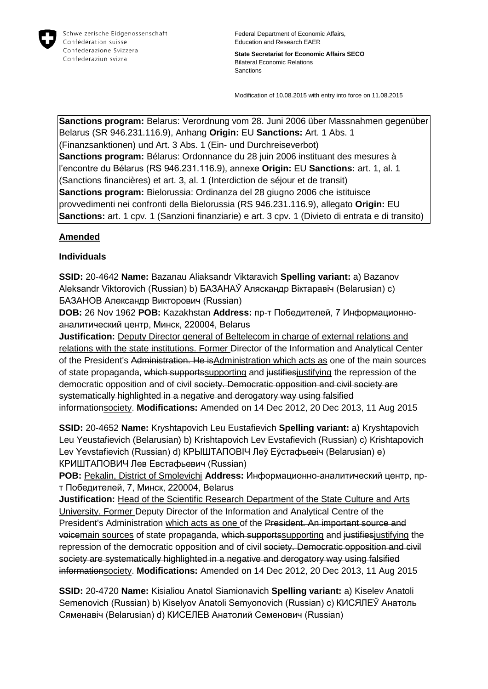

**State Secretariat for Economic Affairs SECO** Bilateral Economic Relations **Sanctions** 

Modification of 10.08.2015 with entry into force on 11.08.2015

**Sanctions program:** Belarus: Verordnung vom 28. Juni 2006 über Massnahmen gegenüber Belarus (SR 946.231.116.9), Anhang **Origin:** EU **Sanctions:** Art. 1 Abs. 1 (Finanzsanktionen) und Art. 3 Abs. 1 (Ein- und Durchreiseverbot) **Sanctions program:** Bélarus: Ordonnance du 28 juin 2006 instituant des mesures à l'encontre du Bélarus (RS 946.231.116.9), annexe **Origin:** EU **Sanctions:** art. 1, al. 1 (Sanctions financières) et art. 3, al. 1 (Interdiction de séjour et de transit) **Sanctions program:** Bielorussia: Ordinanza del 28 giugno 2006 che istituisce provvedimenti nei confronti della Bielorussia (RS 946.231.116.9), allegato **Origin:** EU **Sanctions:** art. 1 cpv. 1 (Sanzioni finanziarie) e art. 3 cpv. 1 (Divieto di entrata e di transito)

### **Amended**

### **Individuals**

**SSID:** 20-4642 **Name:** Bazanau Aliaksandr Viktaravich **Spelling variant:** a) Bazanov Aleksandr Viktorovich (Russian) b) БАЗАНАЎ Аляскандр Віктаравіч (Belarusian) c) БАЗАНОВ Александр Викторович (Russian)

**DOB:** 26 Nov 1962 **POB:** Kazakhstan **Address:** пр-т Победителей, 7 Информационноаналитический центр, Минск, 220004, Belarus

**Justification:** Deputy Director general of Beltelecom in charge of external relations and relations with the state institutions. Former Director of the Information and Analytical Center of the President's Administration. He isAdministration which acts as one of the main sources of state propaganda, which supportssupporting and justifiesjustifying the repression of the democratic opposition and of civil society. Democratic opposition and civil society are systematically highlighted in a negative and derogatory way using falsified informationsociety. **Modifications:** Amended on 14 Dec 2012, 20 Dec 2013, 11 Aug 2015

**SSID:** 20-4652 **Name:** Kryshtapovich Leu Eustafievich **Spelling variant:** a) Kryshtapovich Leu Yeustafievich (Belarusian) b) Krishtapovich Lev Evstafievich (Russian) c) Krishtapovich Lev Yevstafievich (Russian) d) КРЫШТАПОВIЧ Леў Еўстафьевіч (Belarusian) e) КРИШТАПОВИЧ Лев Евстафьевич (Russian)

**POB:** Pekalin, District of Smolevichi **Address:** Информационно-аналитический центр, прт Победителей, 7, Минск, 220004, Belarus

**Justification:** Head of the Scientific Research Department of the State Culture and Arts University. Former Deputy Director of the Information and Analytical Centre of the President's Administration which acts as one of the President. An important source and voicemain sources of state propaganda, which supportssupporting and justifies justifying the repression of the democratic opposition and of civil society. Democratic opposition and civil society are systematically highlighted in a negative and derogatory way using falsified informationsociety. **Modifications:** Amended on 14 Dec 2012, 20 Dec 2013, 11 Aug 2015

**SSID:** 20-4720 **Name:** Kisialiou Anatol Siamionavich **Spelling variant:** a) Kiselev Anatoli Semenovich (Russian) b) Kiselyov Anatoli Semyonovich (Russian) c) КИСЯЛЕЎ Анатоль Сяменавiч (Belarusian) d) КИСЕЛЕВ Анатолий Семенович (Russian)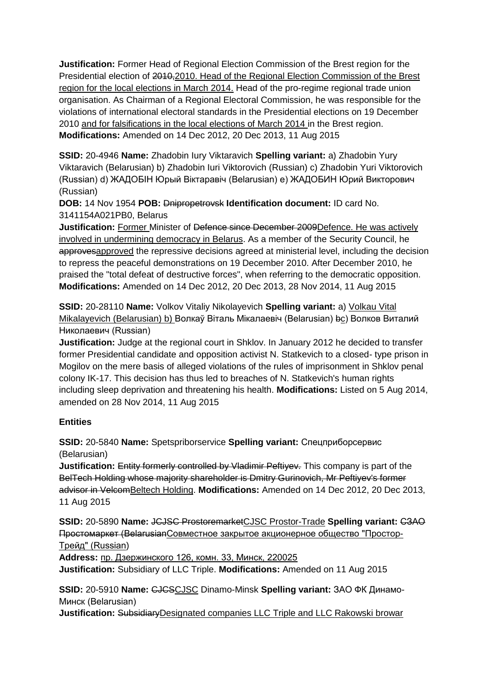**Justification:** Former Head of Regional Election Commission of the Brest region for the Presidential election of 2010,2010. Head of the Regional Election Commission of the Brest region for the local elections in March 2014. Head of the pro-regime regional trade union organisation. As Chairman of a Regional Electoral Commission, he was responsible for the violations of international electoral standards in the Presidential elections on 19 December 2010 and for falsifications in the local elections of March 2014 in the Brest region. **Modifications:** Amended on 14 Dec 2012, 20 Dec 2013, 11 Aug 2015

**SSID:** 20-4946 **Name:** Zhadobin Iury Viktaravich **Spelling variant:** a) Zhadobin Yury Viktaravich (Belarusian) b) Zhadobin Iuri Viktorovich (Russian) c) Zhadobin Yuri Viktorovich (Russian) d) ЖАДОБIН Юрый Віктаравіч (Belarusian) e) ЖАДОБИН Юрий Викторович (Russian)

**DOB:** 14 Nov 1954 **POB:** Dnipropetrovsk **Identification document:** ID card No. 3141154A021PB0, Belarus

**Justification:** Former Minister of <del>Defence since December 2009</del>Defence. He was actively involved in undermining democracy in Belarus. As a member of the Security Council, he approvesapproved the repressive decisions agreed at ministerial level, including the decision to repress the peaceful demonstrations on 19 December 2010. After December 2010, he praised the "total defeat of destructive forces", when referring to the democratic opposition. **Modifications:** Amended on 14 Dec 2012, 20 Dec 2013, 28 Nov 2014, 11 Aug 2015

**SSID:** 20-28110 **Name:** Volkov Vitaliy Nikolayevich **Spelling variant:** a) Volkau Vital Mikalayevich (Belarusian) b) Волкаў Віталь Мiкалаевiч (Belarusian) bc) Волков Виталий Николаевич (Russian)

**Justification:** Judge at the regional court in Shklov. In January 2012 he decided to transfer former Presidential candidate and opposition activist N. Statkevich to a closed- type prison in Mogilov on the mere basis of alleged violations of the rules of imprisonment in Shklov penal colony IK-17. This decision has thus led to breaches of N. Statkevich's human rights including sleep deprivation and threatening his health. **Modifications:** Listed on 5 Aug 2014, amended on 28 Nov 2014, 11 Aug 2015

## **Entities**

**SSID:** 20-5840 **Name:** Spetspriborservice **Spelling variant:** Спецприборсервис (Belarusian)

**Justification:** Entity formerly controlled by Vladimir Peftivey. This company is part of the BelTech Holding whose majority shareholder is Dmitry Gurinovich, Mr Peftiyev's former advisor in VelcomBeltech Holding. **Modifications:** Amended on 14 Dec 2012, 20 Dec 2013, 11 Aug 2015

**SSID:** 20-5890 **Name:** JCJSC ProstoremarketCJSC Prostor-Trade **Spelling variant:** СЗАО Простомаркет (BelarusianСовместное закрытое акционерное общество "Простор-Трейд" (Russian)

**Address:** пр. Дзержинского 126, комн. 33, Минск, 220025 **Justification:** Subsidiary of LLC Triple. **Modifications:** Amended on 11 Aug 2015

**SSID:** 20-5910 **Name:** CJCSCJSC Dinamo-Minsk **Spelling variant:** ЗАО ФК Динамо-Минск (Belarusian)

**Justification:** SubsidiaryDesignated companies LLC Triple and LLC Rakowski browar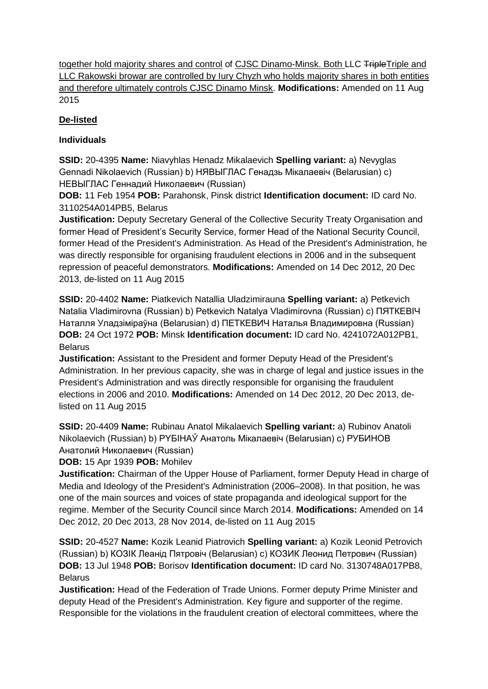together hold majority shares and control of CJSC Dinamo-Minsk. Both LLC TripleTriple and LLC Rakowski browar are controlled by lury Chyzh who holds majority shares in both entities and therefore ultimately controls CJSC Dinamo Minsk. **Modifications:** Amended on 11 Aug 2015

# **De-listed**

## **Individuals**

**SSID:** 20-4395 **Name:** Niavyhlas Henadz Mikalaevich **Spelling variant:** a) Nevyglas Gennadi Nikolaevich (Russian) b) НЯВЫГЛАС Генадзь Мiкалаевіч (Belarusian) c) НЕВЫГЛАС Геннадий Николаевич (Russian)

**DOB:** 11 Feb 1954 **POB:** Parahonsk, Pinsk district **Identification document:** ID card No. 3110254A014PB5, Belarus

**Justification:** Deputy Secretary General of the Collective Security Treaty Organisation and former Head of President's Security Service, former Head of the National Security Council, former Head of the President's Administration. As Head of the President's Administration, he was directly responsible for organising fraudulent elections in 2006 and in the subsequent repression of peaceful demonstrators. **Modifications:** Amended on 14 Dec 2012, 20 Dec 2013, de-listed on 11 Aug 2015

**SSID:** 20-4402 **Name:** Piatkevich Natallia Uladzimirauna **Spelling variant:** a) Petkevich Natalia Vladimirovna (Russian) b) Petkevich Natalya Vladimirovna (Russian) c) ПЯТКЕВIЧ Наталля Уладзіміраўна (Belarusian) d) ПЕТКЕВИЧ Наталья Владимировна (Russian) **DOB:** 24 Oct 1972 **POB:** Minsk **Identification document:** ID card No. 4241072A012PB1, Belarus

**Justification:** Assistant to the President and former Deputy Head of the President's Administration. In her previous capacity, she was in charge of legal and justice issues in the President's Administration and was directly responsible for organising the fraudulent elections in 2006 and 2010. **Modifications:** Amended on 14 Dec 2012, 20 Dec 2013, delisted on 11 Aug 2015

**SSID:** 20-4409 **Name:** Rubinau Anatol Mikalaevich **Spelling variant:** a) Rubinov Anatoli Nikolaevich (Russian) b) PYБIНAЎ Анатоль Мікалаевіч (Belarusian) c) РУБИНОВ Анатолий Николаевич (Russian)

**DOB:** 15 Apr 1939 **POB:** Mohilev

**Justification:** Chairman of the Upper House of Parliament, former Deputy Head in charge of Media and Ideology of the President's Administration (2006–2008). In that position, he was one of the main sources and voices of state propaganda and ideological support for the regime. Member of the Security Council since March 2014. **Modifications:** Amended on 14 Dec 2012, 20 Dec 2013, 28 Nov 2014, de-listed on 11 Aug 2015

**SSID:** 20-4527 **Name:** Kozik Leanid Piatrovich **Spelling variant:** a) Kozik Leonid Petrovich (Russian) b) КОЗIК Леанід Пятровіч (Belarusian) c) КОЗИК Леонид Петрович (Russian) **DOB:** 13 Jul 1948 **POB:** Borisov **Identification document:** ID card No. 3130748A017PB8, **Belarus** 

**Justification:** Head of the Federation of Trade Unions. Former deputy Prime Minister and deputy Head of the President's Administration. Key figure and supporter of the regime. Responsible for the violations in the fraudulent creation of electoral committees, where the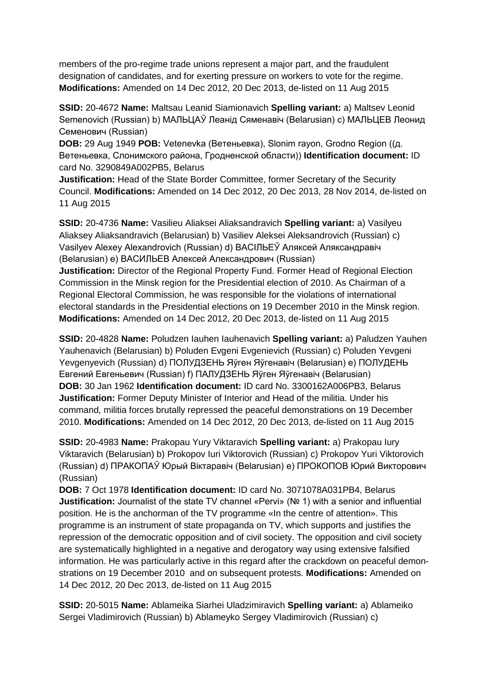members of the pro-regime trade unions represent a major part, and the fraudulent designation of candidates, and for exerting pressure on workers to vote for the regime. **Modifications:** Amended on 14 Dec 2012, 20 Dec 2013, de-listed on 11 Aug 2015

**SSID:** 20-4672 **Name:** Maltsau Leanid Siamionavich **Spelling variant:** a) Maltsev Leonid Semenovich (Russian) b) МАЛЬЦАЎ Леанід Сяменавiч (Belarusian) c) МАЛЬЦЕВ Леонид Семенович (Russian)

**DOB:** 29 Aug 1949 **POB:** Vetenevka (Ветеньевка), Slonim rayon, Grodno Region ((д. Ветеньевка, Слонимского района, Гродненской области)) **Identification document:** ID card No. 3290849A002PB5, Belarus

**Justification:** Head of the State Border Committee, former Secretary of the Security Council. **Modifications:** Amended on 14 Dec 2012, 20 Dec 2013, 28 Nov 2014, de-listed on 11 Aug 2015

**SSID:** 20-4736 **Name:** Vasilieu Aliaksei Aliaksandravich **Spelling variant:** a) Vasilyeu Aliaksey Aliaksandravich (Belarusian) b) Vasiliev Aleksei Aleksandrovich (Russian) c) Vasilyev Alexey Alexandrovich (Russian) d) ВАСIЛЬЕЎ Аляксей Аляксандравіч (Belarusian) e) ВАСИЛЬЕВ Алексей Александрович (Russian)

**Justification:** Director of the Regional Property Fund. Former Head of Regional Election Commission in the Minsk region for the Presidential election of 2010. As Chairman of a Regional Electoral Commission, he was responsible for the violations of international electoral standards in the Presidential elections on 19 December 2010 in the Minsk region. **Modifications:** Amended on 14 Dec 2012, 20 Dec 2013, de-listed on 11 Aug 2015

**SSID:** 20-4828 **Name:** Poludzen Iauhen Iauhenavich **Spelling variant:** a) Paludzen Yauhen Yauhenavich (Belarusian) b) Poluden Evgeni Evgenievich (Russian) c) Poluden Yevgeni Yevgenyevich (Russian) d) ПОЛУДЗЕНЬ Яўген Яўгенавіч (Belarusian) e) ПОЛУДЕНЬ Евгений Евгеньевич (Russian) f) ПАЛУДЗЕНЬ Яўген Яўгенавiч (Belarusian) **DOB:** 30 Jan 1962 **Identification document:** ID card No. 3300162A006PB3, Belarus **Justification:** Former Deputy Minister of Interior and Head of the militia. Under his command, militia forces brutally repressed the peaceful demonstrations on 19 December 2010. **Modifications:** Amended on 14 Dec 2012, 20 Dec 2013, de-listed on 11 Aug 2015

**SSID:** 20-4983 **Name:** Prakopau Yury Viktaravich **Spelling variant:** a) Prakopau Iury Viktaravich (Belarusian) b) Prokopov Iuri Viktorovich (Russian) c) Prokopov Yuri Viktorovich (Russian) d) ПРАКОПАЎ Юрый Вiктаравiч (Belarusian) e) ПРОКОПОВ Юрий Викторович (Russian)

**DOB:** 7 Oct 1978 **Identification document:** ID card No. 3071078A031PB4, Belarus **Justification:** Journalist of the state TV channel «Pervi» (№ 1) with a senior and influential position. He is the anchorman of the TV programme «In the centre of attention». This programme is an instrument of state propaganda on TV, which supports and justifies the repression of the democratic opposition and of civil society. The opposition and civil society are systematically highlighted in a negative and derogatory way using extensive falsified information. He was particularly active in this regard after the crackdown on peaceful demonstrations on 19 December 2010 and on subsequent protests. **Modifications:** Amended on 14 Dec 2012, 20 Dec 2013, de-listed on 11 Aug 2015

**SSID:** 20-5015 **Name:** Ablameika Siarhei Uladzimiravich **Spelling variant:** a) Ablameiko Sergei Vladimirovich (Russian) b) Ablameyko Sergey Vladimirovich (Russian) c)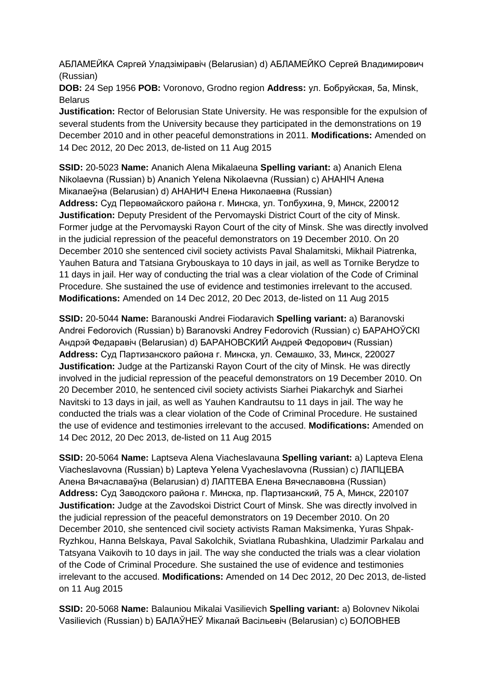АБЛАМЕЙКА Сяргей Уладзіміравіч (Belarusian) d) АБЛАМЕЙКО Сергей Владимирович (Russian)

**DOB:** 24 Sep 1956 **POB:** Voronovo, Grodno region **Address:** ул. Бобруйская, 5a, Minsk, **Belarus** 

**Justification:** Rector of Belorusian State University. He was responsible for the expulsion of several students from the University because they participated in the demonstrations on 19 December 2010 and in other peaceful demonstrations in 2011. **Modifications:** Amended on 14 Dec 2012, 20 Dec 2013, de-listed on 11 Aug 2015

**SSID:** 20-5023 **Name:** Ananich Alena Mikalaeuna **Spelling variant:** a) Ananich Elena Nikolaevna (Russian) b) Ananich Yelena Nikolaevna (Russian) c) АНАНIЧ Алена Мікалаеўна (Belarusian) d) АНАНИЧ Елена Николаевна (Russian) **Address:** Суд Первомайского района г. Минска, ул. Толбухина, 9, Минск, 220012 **Justification:** Deputy President of the Pervomayski District Court of the city of Minsk. Former judge at the Pervomayski Rayon Court of the city of Minsk. She was directly involved in the judicial repression of the peaceful demonstrators on 19 December 2010. On 20 December 2010 she sentenced civil society activists Paval Shalamitski, Mikhail Piatrenka, Yauhen Batura and Tatsiana Grybouskaya to 10 days in jail, as well as Tornike Berydze to 11 days in jail. Her way of conducting the trial was a clear violation of the Code of Criminal Procedure. She sustained the use of evidence and testimonies irrelevant to the accused. **Modifications:** Amended on 14 Dec 2012, 20 Dec 2013, de-listed on 11 Aug 2015

**SSID:** 20-5044 **Name:** Baranouski Andrei Fiodaravich **Spelling variant:** a) Baranovski Andrei Fedorovich (Russian) b) Baranovski Andrey Fedorovich (Russian) c) БАРАНОЎСКI Андрэй Федаравіч (Belarusian) d) БАРАНОВСКИЙ Андрей Федорович (Russian) **Address:** Суд Партизанского района г. Минска, ул. Семашко, 33, Минск, 220027 **Justification:** Judge at the Partizanski Rayon Court of the city of Minsk. He was directly involved in the judicial repression of the peaceful demonstrators on 19 December 2010. On 20 December 2010, he sentenced civil society activists Siarhei Piakarchyk and Siarhei Navitski to 13 days in jail, as well as Yauhen Kandrautsu to 11 days in jail. The way he conducted the trials was a clear violation of the Code of Criminal Procedure. He sustained the use of evidence and testimonies irrelevant to the accused. **Modifications:** Amended on 14 Dec 2012, 20 Dec 2013, de-listed on 11 Aug 2015

**SSID:** 20-5064 **Name:** Laptseva Alena Viacheslavauna **Spelling variant:** a) Lapteva Elena Viacheslavovna (Russian) b) Lapteva Yelena Vyacheslavovna (Russian) c) ЛАПЦЕВА Алена Вячаславаўна (Belarusian) d) ЛАПТЕВА Елена Вячеславовна (Russian) **Address:** Суд Заводского района г. Минска, пр. Партизанский, 75 А, Минск, 220107 **Justification:** Judge at the Zavodskoi District Court of Minsk. She was directly involved in the judicial repression of the peaceful demonstrators on 19 December 2010. On 20 December 2010, she sentenced civil society activists Raman Maksimenka, Yuras Shpak-Ryzhkou, Hanna Belskaya, Paval Sakolchik, Sviatlana Rubashkina, Uladzimir Parkalau and Tatsyana Vaikovih to 10 days in jail. The way she conducted the trials was a clear violation of the Code of Criminal Procedure. She sustained the use of evidence and testimonies irrelevant to the accused. **Modifications:** Amended on 14 Dec 2012, 20 Dec 2013, de-listed on 11 Aug 2015

**SSID:** 20-5068 **Name:** Balauniou Mikalai Vasilievich **Spelling variant:** a) Bolovnev Nikolai Vasilievich (Russian) b) БАЛАЎНЕЎ Мікалай Васільевіч (Belarusian) c) БОЛОВНЕВ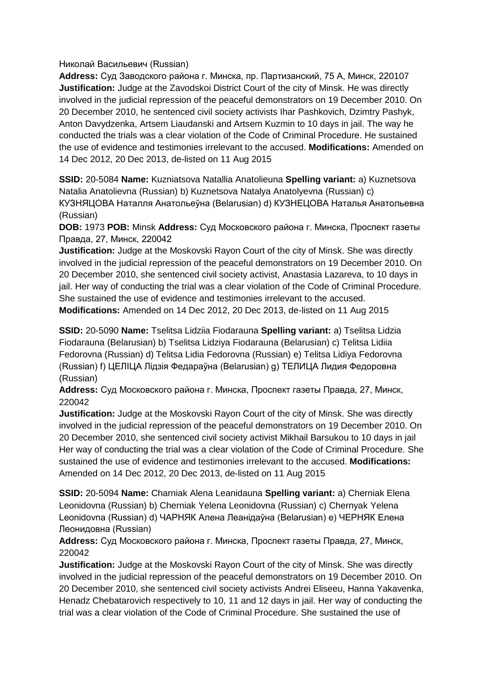Николай Васильевич (Russian)

**Address:** Суд Заводского района г. Минска, пр. Партизанский, 75 А, Минск, 220107 **Justification:** Judge at the Zavodskoi District Court of the city of Minsk. He was directly involved in the judicial repression of the peaceful demonstrators on 19 December 2010. On 20 December 2010, he sentenced civil society activists Ihar Pashkovich, Dzimtry Pashyk, Anton Davydzenka, Artsem Liaudanski and Artsem Kuzmin to 10 days in jail. The way he conducted the trials was a clear violation of the Code of Criminal Procedure. He sustained the use of evidence and testimonies irrelevant to the accused. **Modifications:** Amended on 14 Dec 2012, 20 Dec 2013, de-listed on 11 Aug 2015

**SSID:** 20-5084 **Name:** Kuzniatsova Natallia Anatolieuna **Spelling variant:** a) Kuznetsova Natalia Anatolievna (Russian) b) Kuznetsova Natalya Anatolyevna (Russian) c) КУЗНЯЦОВА Наталля Анатольеўна (Belarusian) d) КУЗНЕЦОВА Наталья Анатольевна (Russian)

**DOB:** 1973 **POB:** Minsk **Address:** Суд Московского района г. Минска, Проспект газеты Правда, 27, Минск, 220042

**Justification:** Judge at the Moskovski Rayon Court of the city of Minsk. She was directly involved in the judicial repression of the peaceful demonstrators on 19 December 2010. On 20 December 2010, she sentenced civil society activist, Anastasia Lazareva, to 10 days in jail. Her way of conducting the trial was a clear violation of the Code of Criminal Procedure. She sustained the use of evidence and testimonies irrelevant to the accused. **Modifications:** Amended on 14 Dec 2012, 20 Dec 2013, de-listed on 11 Aug 2015

**SSID:** 20-5090 **Name:** Tselitsa Lidziia Fiodarauna **Spelling variant:** a) Tselitsa Lidzia Fiodarauna (Belarusian) b) Tselitsa Lidziya Fiodarauna (Belarusian) c) Telitsa Lidiia Fedorovna (Russian) d) Telitsa Lidia Fedorovna (Russian) e) Telitsa Lidiya Fedorovna (Russian) f) ЦЕЛIЦА Лідзія Федараўна (Belarusian) g) ТЕЛИЦА Лидия Федоровна (Russian)

**Address:** Суд Московского района г. Минска, Проспект газеты Правда, 27, Минск, 220042

**Justification:** Judge at the Moskovski Rayon Court of the city of Minsk. She was directly involved in the judicial repression of the peaceful demonstrators on 19 December 2010. On 20 December 2010, she sentenced civil society activist Mikhail Barsukou to 10 days in jail Her way of conducting the trial was a clear violation of the Code of Criminal Procedure. She sustained the use of evidence and testimonies irrelevant to the accused. **Modifications:**  Amended on 14 Dec 2012, 20 Dec 2013, de-listed on 11 Aug 2015

**SSID:** 20-5094 **Name:** Charniak Alena Leanidauna **Spelling variant:** a) Cherniak Elena Leonidovna (Russian) b) Cherniak Yelena Leonidovna (Russian) c) Chernyak Yelena Leonidovna (Russian) d) ЧАРНЯК Алена Леанідаўна (Belarusian) e) ЧЕРНЯК Елена Леонидовна (Russian)

**Address:** Суд Московского района г. Минска, Проспект газеты Правда, 27, Минск, 220042

**Justification:** Judge at the Moskovski Rayon Court of the city of Minsk. She was directly involved in the judicial repression of the peaceful demonstrators on 19 December 2010. On 20 December 2010, she sentenced civil society activists Andrei Eliseeu, Hanna Yakavenka, Henadz Chebatarovich respectively to 10, 11 and 12 days in jail. Her way of conducting the trial was a clear violation of the Code of Criminal Procedure. She sustained the use of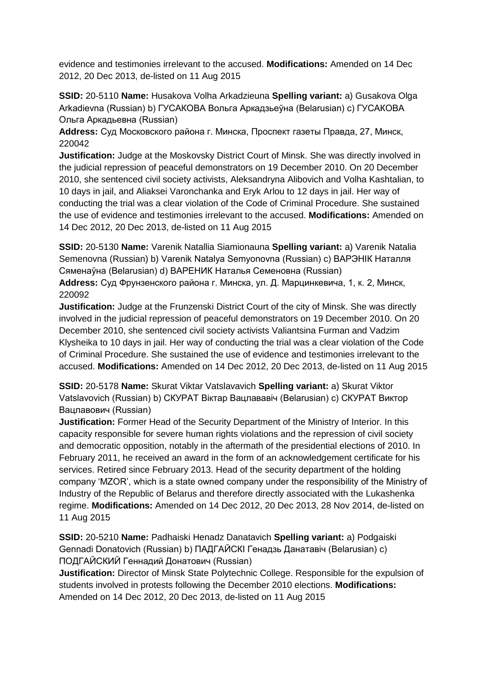evidence and testimonies irrelevant to the accused. **Modifications:** Amended on 14 Dec 2012, 20 Dec 2013, de-listed on 11 Aug 2015

**SSID:** 20-5110 **Name:** Husakova Volha Arkadzieuna **Spelling variant:** a) Gusakova Olga Arkadievna (Russian) b) ГУСАКОВА Вольга Аркадзьеўна (Belarusian) c) ГУСАКОВА Ольга Аркадьевна (Russian)

**Address:** Суд Московского района г. Минска, Проспект газеты Правда, 27, Минск, 220042

**Justification:** Judge at the Moskovsky District Court of Minsk. She was directly involved in the judicial repression of peaceful demonstrators on 19 December 2010. On 20 December 2010, she sentenced civil society activists, Aleksandryna Alibovich and Volha Kashtalian, to 10 days in jail, and Aliaksei Varonchanka and Eryk Arlou to 12 days in jail. Her way of conducting the trial was a clear violation of the Code of Criminal Procedure. She sustained the use of evidence and testimonies irrelevant to the accused. **Modifications:** Amended on 14 Dec 2012, 20 Dec 2013, de-listed on 11 Aug 2015

**SSID:** 20-5130 **Name:** Varenik Natallia Siamionauna **Spelling variant:** a) Varenik Natalia Semenovna (Russian) b) Varenik Natalya Semyonovna (Russian) c) ВАРЭНIК Наталля Сяменаўна (Belarusian) d) ВАРЕНИК Наталья Семеновна (Russian)

**Address:** Суд Фрунзенского района г. Минска, ул. Д. Марцинкевича, 1, к. 2, Минск, 220092

**Justification:** Judge at the Frunzenski District Court of the city of Minsk. She was directly involved in the judicial repression of peaceful demonstrators on 19 December 2010. On 20 December 2010, she sentenced civil society activists Valiantsina Furman and Vadzim Klysheika to 10 days in jail. Her way of conducting the trial was a clear violation of the Code of Criminal Procedure. She sustained the use of evidence and testimonies irrelevant to the accused. **Modifications:** Amended on 14 Dec 2012, 20 Dec 2013, de-listed on 11 Aug 2015

**SSID:** 20-5178 **Name:** Skurat Viktar Vatslavavich **Spelling variant:** a) Skurat Viktor Vatslavovich (Russian) b) СКУРАТ Віктар Вацлавaвiч (Belarusian) c) СКУРАТ Виктор Вацлавович (Russian)

**Justification:** Former Head of the Security Department of the Ministry of Interior. In this capacity responsible for severe human rights violations and the repression of civil society and democratic opposition, notably in the aftermath of the presidential elections of 2010. In February 2011, he received an award in the form of an acknowledgement certificate for his services. Retired since February 2013. Head of the security department of the holding company 'MZOR', which is a state owned company under the responsibility of the Ministry of Industry of the Republic of Belarus and therefore directly associated with the Lukashenka regime. **Modifications:** Amended on 14 Dec 2012, 20 Dec 2013, 28 Nov 2014, de-listed on 11 Aug 2015

**SSID:** 20-5210 **Name:** Padhaiski Henadz Danatavich **Spelling variant:** a) Podgaiski Gennadi Donatovich (Russian) b) ПАДГАЙСКI Генадзь Данатавіч (Belarusian) c) ПОДГАЙСКИЙ Геннадий Донатович (Russian)

**Justification:** Director of Minsk State Polytechnic College. Responsible for the expulsion of students involved in protests following the December 2010 elections. **Modifications:**  Amended on 14 Dec 2012, 20 Dec 2013, de-listed on 11 Aug 2015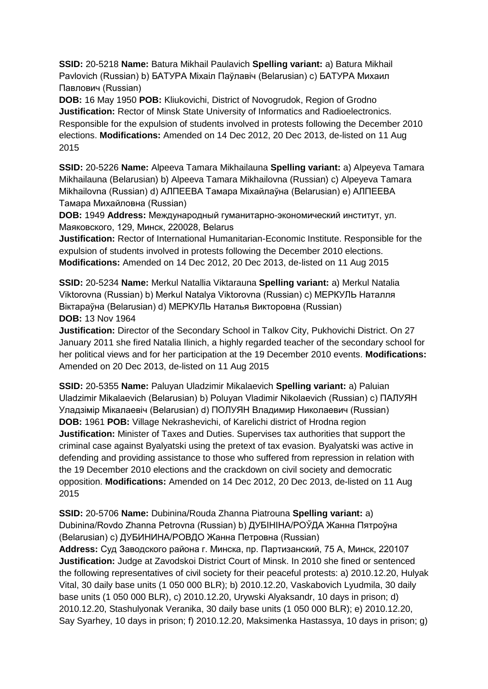**SSID:** 20-5218 **Name:** Batura Mikhail Paulavich **Spelling variant:** a) Batura Mikhail Pavlovich (Russian) b) БАТУРА Міхаіл Паўлавіч (Belarusian) c) БАТУРА Михаил Павлович (Russian)

**DOB:** 16 May 1950 **POB:** Kliukovichi, District of Novogrudok, Region of Grodno **Justification:** Rector of Minsk State University of Informatics and Radioelectronics. Responsible for the expulsion of students involved in protests following the December 2010 elections. **Modifications:** Amended on 14 Dec 2012, 20 Dec 2013, de-listed on 11 Aug 2015

**SSID:** 20-5226 **Name:** Alpeeva Tamara Mikhailauna **Spelling variant:** a) Alpeyeva Tamara Mikhailauna (Belarusian) b) Alpeeva Tamara Mikhailovna (Russian) c) Alpeyeva Tamara Mikhailovna (Russian) d) АЛПЕЕВА Тамара Міхайлаўна (Belarusian) e) АЛПЕЕВА Тамара Михайловна (Russian)

**DOB:** 1949 **Address:** Международный гуманитарно-экономический институт, ул. Маяковского, 129, Минск, 220028, Belarus

**Justification:** Rector of International Humanitarian-Economic Institute. Responsible for the expulsion of students involved in protests following the December 2010 elections. **Modifications:** Amended on 14 Dec 2012, 20 Dec 2013, de-listed on 11 Aug 2015

**SSID:** 20-5234 **Name:** Merkul Natallia Viktarauna **Spelling variant:** a) Merkul Natalia Viktorovna (Russian) b) Merkul Natalya Viktorovna (Russian) c) МЕРКУЛЬ Наталля Віктараўна (Belarusian) d) МЕРКУЛЬ Наталья Викторовна (Russian) **DOB:** 13 Nov 1964

**Justification:** Director of the Secondary School in Talkov City, Pukhovichi District. On 27 January 2011 she fired Natalia Ilinich, a highly regarded teacher of the secondary school for her political views and for her participation at the 19 December 2010 events. **Modifications:**  Amended on 20 Dec 2013, de-listed on 11 Aug 2015

**SSID:** 20-5355 **Name:** Paluyan Uladzimir Mikalaevich **Spelling variant:** a) Paluian Uladzimir Mikalaevich (Belarusian) b) Poluyan Vladimir Nikolaevich (Russian) c) ПАЛУЯН Уладзімір Мікалаевіч (Belarusian) d) ПОЛУЯН Владимир Николаевич (Russian) **DOB:** 1961 **POB:** Village Nekrashevichi, of Karelichi district of Hrodna region **Justification:** Minister of Taxes and Duties. Supervises tax authorities that support the criminal case against Byalyatski using the pretext of tax evasion. Byalyatski was active in defending and providing assistance to those who suffered from repression in relation with the 19 December 2010 elections and the crackdown on civil society and democratic opposition. **Modifications:** Amended on 14 Dec 2012, 20 Dec 2013, de-listed on 11 Aug 2015

**SSID:** 20-5706 **Name:** Dubinina/Rouda Zhanna Piatrouna **Spelling variant:** a) Dubinina/Rovdo Zhanna Petrovna (Russian) b) ДУБIНIНА/РОЎДА Жанна Пятроўна (Belarusian) c) ДУБИНИНА/РОВДО Жанна Петровна (Russian)

**Address:** Суд Заводского района г. Минска, пр. Партизанский, 75 А, Минск, 220107 **Justification:** Judge at Zavodskoi District Court of Minsk. In 2010 she fined or sentenced the following representatives of civil society for their peaceful protests: a) 2010.12.20, Hulyak Vital, 30 daily base units (1 050 000 BLR); b) 2010.12.20, Vaskabovich Lyudmila, 30 daily base units (1 050 000 BLR), c) 2010.12.20, Urywski Alyaksandr, 10 days in prison; d) 2010.12.20, Stashulyonak Veranika, 30 daily base units (1 050 000 BLR); e) 2010.12.20, Say Syarhey, 10 days in prison; f) 2010.12.20, Maksimenka Hastassya, 10 days in prison; g)